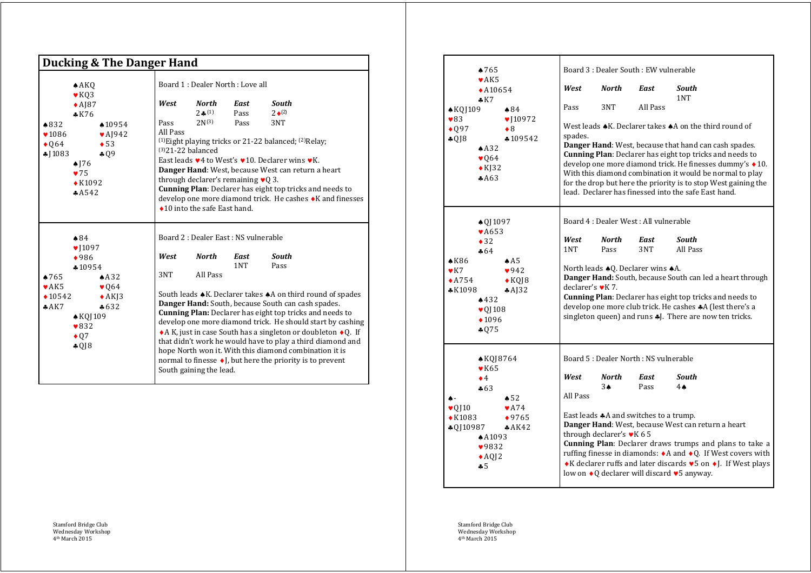| <b>Ducking &amp; The Danger Hand</b>                                                                                                                                                                                                                                        |                                                                                                                                                                                                                |                                                                                                                                                                                                                                                                                                                                                                                                                                                                                                                                                                                                                                                                         |  |  |  |  |  |
|-----------------------------------------------------------------------------------------------------------------------------------------------------------------------------------------------------------------------------------------------------------------------------|----------------------------------------------------------------------------------------------------------------------------------------------------------------------------------------------------------------|-------------------------------------------------------------------------------------------------------------------------------------------------------------------------------------------------------------------------------------------------------------------------------------------------------------------------------------------------------------------------------------------------------------------------------------------------------------------------------------------------------------------------------------------------------------------------------------------------------------------------------------------------------------------------|--|--|--|--|--|
| $*832$<br>$\blacktriangledown$ 1086<br>$\bullet$ Q64<br>\$1083                                                                                                                                                                                                              | A KQ<br>$\blacktriangleright$ KQ3<br>$\triangle$ AJ87<br>$*K76$<br>$*10954$<br>$\blacktriangleright$ AJ942<br>$\bullet$ 53<br>$*09$<br>$\triangle$ J76<br>$\blacktriangledown$ 75<br>$\triangle$ K1092<br>A542 | Board 1 : Dealer North : Love all<br><b>North</b><br><b>South</b><br>West<br>East<br>$2 \bullet (1)$<br>Pass<br>$2 \bullet (2)$<br>Pass<br>$2N^{(3)}$<br>Pass<br>3NT<br>All Pass<br><sup>(1)</sup> Eight playing tricks or 21-22 balanced; <sup>(2)</sup> Relay;<br>$(3)$ 21-22 balanced<br>East leads $\vee$ 4 to West's $\vee$ 10. Declarer wins $\nu$ K.<br>Danger Hand: West, because West can return a heart<br>through declarer's remaining $\vee$ Q 3.<br><b>Cunning Plan:</b> Declarer has eight top tricks and needs to<br>develop one more diamond trick. He cashes ◆ K and finesses<br>$\triangle$ 10 into the safe East hand.                               |  |  |  |  |  |
| $\clubsuit 84$<br>$\blacktriangledown$ [1097]<br>$*986$<br>$*10954$<br>$*765$<br>AA32<br>$\blacktriangleright$ AK5<br>$\blacktriangledown 064$<br>$*10542$<br>$\triangle$ AKJ3<br>AAK7<br>$*632$<br>$\triangle$ KQJ109<br>$\blacktriangledown 832$<br>$\bullet$ Q7<br>\$018 |                                                                                                                                                                                                                | Board 2 : Dealer East : NS vulnerable<br>West<br>North<br>South<br>East<br>1NT<br>Pass<br>All Pass<br>3NT<br>South leads ♦ K. Declarer takes ♦ A on third round of spades<br>Danger Hand: South, because South can cash spades.<br><b>Cunning Plan:</b> Declarer has eight top tricks and needs to<br>develop one more diamond trick. He should start by cashing<br>$\triangle$ A K, just in case South has a singleton or doubleton $\triangle$ Q. If<br>that didn't work he would have to play a third diamond and<br>hope North won it. With this diamond combination it is<br>normal to finesse ♦ J, but here the priority is to prevent<br>South gaining the lead. |  |  |  |  |  |

| $*765$<br>$\blacktriangleright$ AK5                                                                                                                                                  |                                                              |                                                          |                                                                                                                                                                                                                                                                                                                                                                                                                                                                | Board 3 : Dealer South : EW vulnerable                                                                                                                                                                                                                                                                                                                                                                                                                                             |              |                          |  |  |
|--------------------------------------------------------------------------------------------------------------------------------------------------------------------------------------|--------------------------------------------------------------|----------------------------------------------------------|----------------------------------------------------------------------------------------------------------------------------------------------------------------------------------------------------------------------------------------------------------------------------------------------------------------------------------------------------------------------------------------------------------------------------------------------------------------|------------------------------------------------------------------------------------------------------------------------------------------------------------------------------------------------------------------------------------------------------------------------------------------------------------------------------------------------------------------------------------------------------------------------------------------------------------------------------------|--------------|--------------------------|--|--|
|                                                                                                                                                                                      | $\triangle$ A10654<br>$\clubsuit$ K7                         |                                                          | West                                                                                                                                                                                                                                                                                                                                                                                                                                                           | North                                                                                                                                                                                                                                                                                                                                                                                                                                                                              | East         | South<br>1NT             |  |  |
| $\triangle$ KQJ 109                                                                                                                                                                  |                                                              | $\triangle 84$                                           | Pass                                                                                                                                                                                                                                                                                                                                                                                                                                                           | 3NT                                                                                                                                                                                                                                                                                                                                                                                                                                                                                | All Pass     |                          |  |  |
| $\blacktriangledown 83$<br>$\bullet$ Q97<br>$\triangleleft$ QJ8                                                                                                                      | AA32<br>$\blacktriangledown 064$<br>$\triangle$ K[32<br>AA63 | $\blacktriangledown$ [10972]<br>$\bullet$ 8<br>$*109542$ | West leads $\triangle$ K. Declarer takes $\triangle$ A on the third round of<br>spades.<br>Danger Hand: West, because that hand can cash spades.<br>Cunning Plan: Declarer has eight top tricks and needs to<br>develop one more diamond trick. He finesses dummy's ◆10.<br>With this diamond combination it would be normal to play<br>for the drop but here the priority is to stop West gaining the<br>lead. Declarer has finessed into the safe East hand. |                                                                                                                                                                                                                                                                                                                                                                                                                                                                                    |              |                          |  |  |
| $\triangle$ Q[1097                                                                                                                                                                   |                                                              |                                                          |                                                                                                                                                                                                                                                                                                                                                                                                                                                                | Board 4 : Dealer West : All vulnerable                                                                                                                                                                                                                                                                                                                                                                                                                                             |              |                          |  |  |
|                                                                                                                                                                                      | $\blacktriangleright$ A653<br>$\bullet$ 32<br>$-64$          |                                                          | West<br>1NT                                                                                                                                                                                                                                                                                                                                                                                                                                                    | <b>North</b><br>Pass                                                                                                                                                                                                                                                                                                                                                                                                                                                               | East<br>3NT  | <b>South</b><br>All Pass |  |  |
| $\triangle$ K86<br>$\triangledown$<br>$\triangle$ A754<br>$*K1098$                                                                                                                   | 432<br>$\triangledown 01108$<br>$\bullet$ 1096<br>\$075      | AA5<br>942<br>$\triangle$ KQJ8<br>A32                    | North leads $\triangle$ Q. Declarer wins $\triangle$ A.<br>Danger Hand: South, because South can led a heart through<br>declarer's $\blacktriangledown K$ 7.<br><b>Cunning Plan:</b> Declarer has eight top tricks and needs to<br>develop one more club trick. He cashes $A$ (lest there's a<br>singleton queen) and runs \$J. There are now ten tricks.                                                                                                      |                                                                                                                                                                                                                                                                                                                                                                                                                                                                                    |              |                          |  |  |
| $\triangle$ KQJ8764                                                                                                                                                                  |                                                              | Board 5 : Dealer North : NS vulnerable                   |                                                                                                                                                                                                                                                                                                                                                                                                                                                                |                                                                                                                                                                                                                                                                                                                                                                                                                                                                                    |              |                          |  |  |
|                                                                                                                                                                                      | $\blacktriangleright$ K65<br>$\bullet$ 4<br>$\clubsuit 63$   | $\triangle$ 52                                           | West<br>All Pass                                                                                                                                                                                                                                                                                                                                                                                                                                               | North<br>$3\spadesuit$                                                                                                                                                                                                                                                                                                                                                                                                                                                             | East<br>Pass | South<br>$4 \triangle$   |  |  |
| $\blacktriangleright$ A74<br>$\blacktriangledown$ QJ 10<br>$\triangle$ K1083<br>$*9765$<br>$*0110987$<br>AAK42<br>$*$ A1093<br>$\blacktriangledown$ 9832<br>$\triangle$ A012<br>$-5$ |                                                              |                                                          |                                                                                                                                                                                                                                                                                                                                                                                                                                                                | East leads $\clubsuit$ A and switches to a trump.<br>Danger Hand: West, because West can return a heart<br>through declarer's $\blacktriangledown$ K 6 5<br>Cunning Plan: Declarer draws trumps and plans to take a<br>ruffing finesse in diamonds: $\triangleleft$ A and $\triangleleft$ Q. If West covers with<br>◆ K declarer ruffs and later discards $\blacktriangledown$ 5 on ◆ J. If West plays<br>low on $\triangleleft$ Q declarer will discard $\triangleleft$ 5 anyway. |              |                          |  |  |

Stamford Bridge Club Wednesday Workshop 4th March 2015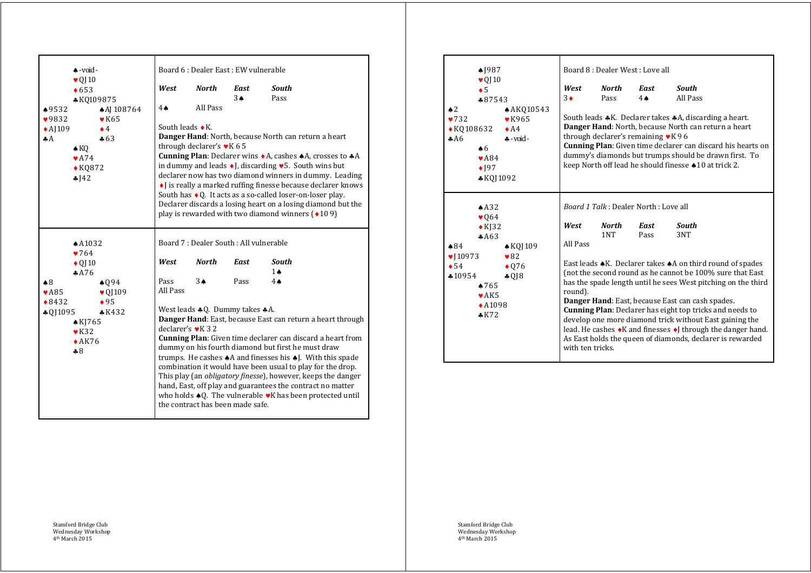| $*9532$                                                                                                                                                                                                        | $\triangle$ - void -<br>$\blacktriangledown$ 0110<br>$\triangle 653$<br>*KQ109875 | ◆ AJ 108764                                       | West<br>4♠                                                                                                                                                                                                                                                                                                                                                                                                                                                                                                                                                                                                                                                                            | Board 6 : Dealer East : EW vulnerable<br><b>North</b><br>All Pass                                                                                                                                                                                                                                                                                                                                                                                                                                                                                                 | <b>East</b><br>$3\triangle$                    | <b>South</b><br>Pass |  |  |
|----------------------------------------------------------------------------------------------------------------------------------------------------------------------------------------------------------------|-----------------------------------------------------------------------------------|---------------------------------------------------|---------------------------------------------------------------------------------------------------------------------------------------------------------------------------------------------------------------------------------------------------------------------------------------------------------------------------------------------------------------------------------------------------------------------------------------------------------------------------------------------------------------------------------------------------------------------------------------------------------------------------------------------------------------------------------------|-------------------------------------------------------------------------------------------------------------------------------------------------------------------------------------------------------------------------------------------------------------------------------------------------------------------------------------------------------------------------------------------------------------------------------------------------------------------------------------------------------------------------------------------------------------------|------------------------------------------------|----------------------|--|--|
| 9832<br>$\triangle$ AJ109<br>AA                                                                                                                                                                                | $\triangle$ KQ<br>$\blacktriangleright$ A74<br>$\triangle$ KQ872<br>$-142$        | $\blacktriangleright$ K65<br>$\bullet$ 4<br>$*63$ |                                                                                                                                                                                                                                                                                                                                                                                                                                                                                                                                                                                                                                                                                       | South leads $\bullet$ K.<br>Danger Hand: North, because North can return a heart<br>through declarer's vK 65<br>Cunning Plan: Declarer wins ◆ A, cashes ◆ A, crosses to ◆ A<br>in dummy and leads $\bullet$ J, discarding $\bullet$ 5. South wins but<br>declarer now has two diamond winners in dummy. Leading<br>I is really a marked ruffing finesse because declarer knows<br>South has ◆ Q. It acts as a so-called loser-on-loser play.<br>Declarer discards a losing heart on a losing diamond but the<br>play is rewarded with two diamond winners $(109)$ |                                                |                      |  |  |
| A1032<br>$\blacktriangledown 764$<br>$\triangle$ Q <sub>110</sub><br>A76<br>$\clubsuit 8$<br>$*094$                                                                                                            |                                                                                   | West<br>Pass<br>All Pass                          | Board 7 : Dealer South : All vulnerable<br><b>North</b><br>$3\spadesuit$                                                                                                                                                                                                                                                                                                                                                                                                                                                                                                                                                                                                              | <b>East</b><br>Pass                                                                                                                                                                                                                                                                                                                                                                                                                                                                                                                                               | <b>South</b><br>$1 \triangle$<br>$4\spadesuit$ |                      |  |  |
| $\blacktriangledown$ A85<br>$\triangledown$ Q <sub>1109</sub><br>$\bullet$ 95<br>$\bullet 8432$<br>$\clubsuit$ Q[1095<br>$*K432$<br>$\triangle$ KI765<br>$\blacktriangleright$ K32<br>$\triangle$ AK76<br>$-8$ |                                                                                   |                                                   | West leads $*$ Q. Dummy takes $*$ A.<br>Danger Hand: East, because East can return a heart through<br>declarer's $\blacktriangledown$ K 3 2<br><b>Cunning Plan:</b> Given time declarer can discard a heart from<br>dummy on his fourth diamond but first he must draw<br>trumps. He cashes $\triangle A$ and finesses his $\triangle A$ . With this spade<br>combination it would have been usual to play for the drop.<br>This play (an obligatory finesse), however, keeps the danger<br>hand, East, off play and guarantees the contract no matter<br>who holds $\triangleleft Q$ . The vulnerable $\triangledown K$ has been protected until<br>the contract has been made safe. |                                                                                                                                                                                                                                                                                                                                                                                                                                                                                                                                                                   |                                                |                      |  |  |

| $\triangle$ 1987<br>$\blacktriangledown$ QJ 10<br>$\bullet$ 5<br>$*87543$<br>$\triangle$ 2<br>$\blacktriangledown$ 732<br>$\triangle$ KQ108632<br>AA6<br>$\triangle 6$<br>$\blacktriangleright$ A84<br>$\bullet$ 197<br>$*$ KOJ1092                                                      | <b>AK010543</b><br>$\blacktriangleright$ K965<br>$\bullet$ A4<br>$\clubsuit$ -void - | West<br>$3\bullet$                                                                                                                                                                                                                                                                                                                                                                                                                                                                                                                                                                                                                                                                                           | Board 8 : Dealer West : Love all<br>North<br>Pass | East<br>$4 \spadesuit$<br>through declarer's remaining $\blacktriangleright$ K 9 6 | <b>South</b><br>All Pass<br>South leads *K. Declarer takes *A, discarding a heart.<br>Danger Hand: North, because North can return a heart<br><b>Cunning Plan:</b> Given time declarer can discard his hearts on<br>dummy's diamonds but trumps should be drawn first. To<br>keep North off lead he should finesse $\triangle 10$ at trick 2. |  |  |
|------------------------------------------------------------------------------------------------------------------------------------------------------------------------------------------------------------------------------------------------------------------------------------------|--------------------------------------------------------------------------------------|--------------------------------------------------------------------------------------------------------------------------------------------------------------------------------------------------------------------------------------------------------------------------------------------------------------------------------------------------------------------------------------------------------------------------------------------------------------------------------------------------------------------------------------------------------------------------------------------------------------------------------------------------------------------------------------------------------------|---------------------------------------------------|------------------------------------------------------------------------------------|-----------------------------------------------------------------------------------------------------------------------------------------------------------------------------------------------------------------------------------------------------------------------------------------------------------------------------------------------|--|--|
| AA32<br>$\blacktriangledown 064$<br>$\triangle$ KJ32<br>AA63<br>$\triangle$ 84<br>$\triangle$ KQJ109<br>$\blacktriangledown$ [10973]<br>$\bullet$ 82<br>$\bullet$ 54<br>$\bullet$ 076<br>$*10954$<br>4018<br>$\triangle 765$<br>$\blacktriangleright$ AK5<br>$\triangle$ A1098<br>$*K72$ |                                                                                      | <i>Board 1 Talk</i> : Dealer North: Love all<br>West<br>North<br>South<br>East<br>1NT<br>Pass<br>3NT<br>All Pass<br>East leads $\triangle$ K. Declarer takes $\triangle$ A on third round of spades<br>(not the second round as he cannot be 100% sure that East<br>has the spade length until he sees West pitching on the third<br>round).<br>Danger Hand: East, because East can cash spades.<br><b>Cunning Plan:</b> Declarer has eight top tricks and needs to<br>develop one more diamond trick without East gaining the<br>lead. He cashes $\triangleleft K$ and finesses $\triangleleft J$ through the danger hand.<br>As East holds the queen of diamonds, declarer is rewarded<br>with ten tricks. |                                                   |                                                                                    |                                                                                                                                                                                                                                                                                                                                               |  |  |